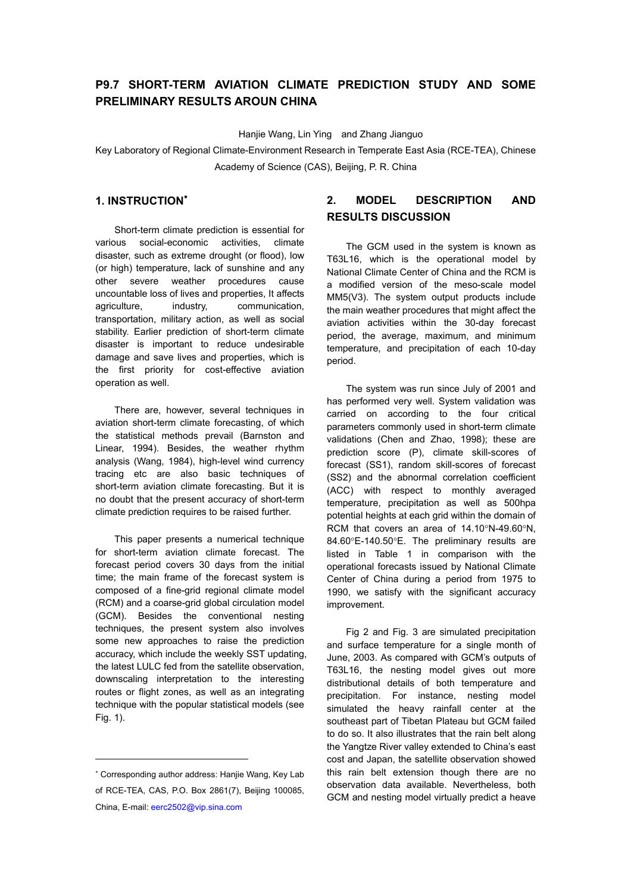# **P9.7 SHORT-TERM AVIATION CLIMATE PREDICTION STUDY AND SOME PRELIMINARY RESULTS AROUN CHINA**

Hanjie Wang, Lin Ying and Zhang Jianguo

Key Laboratory of Regional Climate-Environment Research in Temperate East Asia (RCE-TEA), Chinese Academy of Science (CAS), Beijing, P. R. China

### **1. INSTRUCTION**[∗](#page-0-0)

Short-term climate prediction is essential for various social-economic activities, climate disaster, such as extreme drought (or flood), low (or high) temperature, lack of sunshine and any other severe weather procedures cause uncountable loss of lives and properties, It affects agriculture, industry, communication, transportation, military action, as well as social stability. Earlier prediction of short-term climate disaster is important to reduce undesirable damage and save lives and properties, which is the first priority for cost-effective aviation operation as well.

There are, however, several techniques in aviation short-term climate forecasting, of which the statistical methods prevail (Barnston and Linear, 1994). Besides, the weather rhythm analysis (Wang, 1984), high-level wind currency tracing etc are also basic techniques of short-term aviation climate forecasting. But it is no doubt that the present accuracy of short-term climate prediction requires to be raised further.

This paper presents a numerical technique for short-term aviation climate forecast. The forecast period covers 30 days from the initial time; the main frame of the forecast system is composed of a fine-grid regional climate model (RCM) and a coarse-grid global circulation model (GCM). Besides the conventional nesting techniques, the present system also involves some new approaches to raise the prediction accuracy, which include the weekly SST updating, the latest LULC fed from the satellite observation, downscaling interpretation to the interesting routes or flight zones, as well as an integrating technique with the popular statistical models (see Fig. 1).

 $\overline{a}$ 

## **2. MODEL DESCRIPTION AND RESULTS DISCUSSION**

The GCM used in the system is known as T63L16, which is the operational model by National Climate Center of China and the RCM is a modified version of the meso-scale model MM5(V3). The system output products include the main weather procedures that might affect the aviation activities within the 30-day forecast period, the average, maximum, and minimum temperature, and precipitation of each 10-day period.

The system was run since July of 2001 and has performed very well. System validation was carried on according to the four critical parameters commonly used in short-term climate validations (Chen and Zhao, 1998); these are prediction score (P), climate skill-scores of forecast (SS1), random skill-scores of forecast (SS2) and the abnormal correlation coefficient (ACC) with respect to monthly averaged temperature, precipitation as well as 500hpa potential heights at each grid within the domain of RCM that covers an area of 14.10°N-49.60°N, 84.60°E-140.50°E. The preliminary results are listed in Table 1 in comparison with the operational forecasts issued by National Climate Center of China during a period from 1975 to 1990, we satisfy with the significant accuracy improvement.

Fig 2 and Fig. 3 are simulated precipitation and surface temperature for a single month of June, 2003. As compared with GCM's outputs of T63L16, the nesting model gives out more distributional details of both temperature and precipitation. For instance, nesting model simulated the heavy rainfall center at the southeast part of Tibetan Plateau but GCM failed to do so. It also illustrates that the rain belt along the Yangtze River valley extended to China's east cost and Japan, the satellite observation showed this rain belt extension though there are no observation data available. Nevertheless, both GCM and nesting model virtually predict a heave

<span id="page-0-0"></span><sup>∗</sup> Corresponding author address: Hanjie Wang, Key Lab of RCE-TEA, CAS, P.O. Box 2861(7), Beijing 100085, China, E-mail: eerc2502@vip.sina.com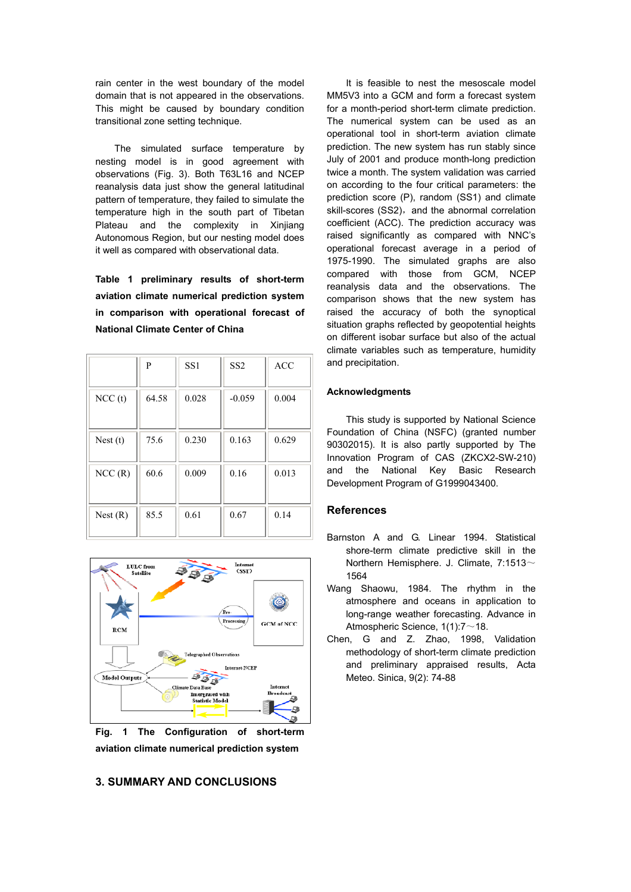rain center in the west boundary of the model domain that is not appeared in the observations. This might be caused by boundary condition transitional zone setting technique.

The simulated surface temperature by nesting model is in good agreement with observations (Fig. 3). Both T63L16 and NCEP reanalysis data just show the general latitudinal pattern of temperature, they failed to simulate the temperature high in the south part of Tibetan Plateau and the complexity in Xinjiang Autonomous Region, but our nesting model does it well as compared with observational data.

**Table 1 preliminary results of short-term aviation climate numerical prediction system in comparison with operational forecast of National Climate Center of China** 

|            | P     | SS <sub>1</sub> | SS <sub>2</sub> | <b>ACC</b> |
|------------|-------|-----------------|-----------------|------------|
| NCC(t)     | 64.58 | 0.028           | $-0.059$        | 0.004      |
| Nest $(t)$ | 75.6  | 0.230           | 0.163           | 0.629      |
| NCC(R)     | 60.6  | 0.009           | 0.16            | 0.013      |
| Nest(R)    | 85.5  | 0.61            | 0.67            | 0.14       |



**Fig. 1 The Configuration of short-term aviation climate numerical prediction system** 

### **3. SUMMARY AND CONCLUSIONS**

It is feasible to nest the mesoscale model MM5V3 into a GCM and form a forecast system for a month-period short-term climate prediction. The numerical system can be used as an operational tool in short-term aviation climate prediction. The new system has run stably since July of 2001 and produce month-long prediction twice a month. The system validation was carried on according to the four critical parameters: the prediction score (P), random (SS1) and climate skill-scores (SS2), and the abnormal correlation coefficient (ACC). The prediction accuracy was raised significantly as compared with NNC's operational forecast average in a period of 1975-1990. The simulated graphs are also compared with those from GCM, NCEP reanalysis data and the observations. The comparison shows that the new system has raised the accuracy of both the synoptical situation graphs reflected by geopotential heights on different isobar surface but also of the actual climate variables such as temperature, humidity and precipitation.

#### **Acknowledgments**

This study is supported by National Science Foundation of China (NSFC) (granted number 90302015). It is also partly supported by The Innovation Program of CAS (ZKCX2-SW-210) and the National Key Basic Research Development Program of G1999043400.

#### **References**

- Barnston A and G. Linear 1994. Statistical shore-term climate predictive skill in the Northern Hemisphere. J. Climate, 7:1513~ 1564
- Wang Shaowu, 1984. The rhythm in the atmosphere and oceans in application to long-range weather forecasting. Advance in Atmospheric Science, 1(1):7~18.
- Chen, G and Z. Zhao, 1998, Validation methodology of short-term climate prediction and preliminary appraised results, Acta Meteo. Sinica, 9(2): 74-88